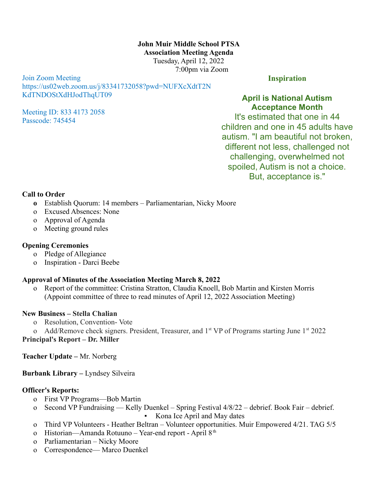**John Muir Middle School PTSA Association Meeting Agenda** Tuesday, April 12, 2022 7:00pm via Zoom

Join Zoom Meeting https://us02web.zoom.us/j/83341732058?pwd=NUFXcXdtT2N KdTNDOStXdHJodThqUT09

Meeting ID: 833 4173 2058 Passcode: 745454

**Inspiration**

**April is National Autism Acceptance Month**

It's estimated that one in 44 children and one in 45 adults have autism. "I am beautiful not broken, different not less, challenged not challenging, overwhelmed not spoiled, Autism is not a choice. But, acceptance is."

#### **Call to Order**

- **o** Establish Quorum: 14 members Parliamentarian, Nicky Moore
- o Excused Absences: None
- o Approval of Agenda
- o Meeting ground rules

### **Opening Ceremonies**

- o Pledge of Allegiance
- o Inspiration Darci Beebe

# **Approval of Minutes of the Association Meeting March 8, 2022**

o Report of the committee: Cristina Stratton, Claudia Knoell, Bob Martin and Kirsten Morris (Appoint committee of three to read minutes of April 12, 2022 Association Meeting)

### **New Business – Stella Chalian**

- o Resolution, Convention- Vote
- o Add/Remove check signers. President, Treasurer, and 1<sup>st</sup> VP of Programs starting June 1<sup>st</sup> 2022

**Principal's Report – Dr. Miller**

**Teacher Update –** Mr. Norberg

**Burbank Library –** Lyndsey Silveira

# **Officer's Reports:**

- o First VP Programs—Bob Martin
- o Second VP Fundraising Kelly Duenkel Spring Festival 4/8/22 debrief. Book Fair debrief. ▪ Kona Ice April and May dates
- o Third VP Volunteers Heather Beltran Volunteer opportunities. Muir Empowered 4/21. TAG 5/5
- o Historian—Amanda Rotuuno Year-end report April 8<sup>th</sup>
- o Parliamentarian Nicky Moore
- o Correspondence— Marco Duenkel